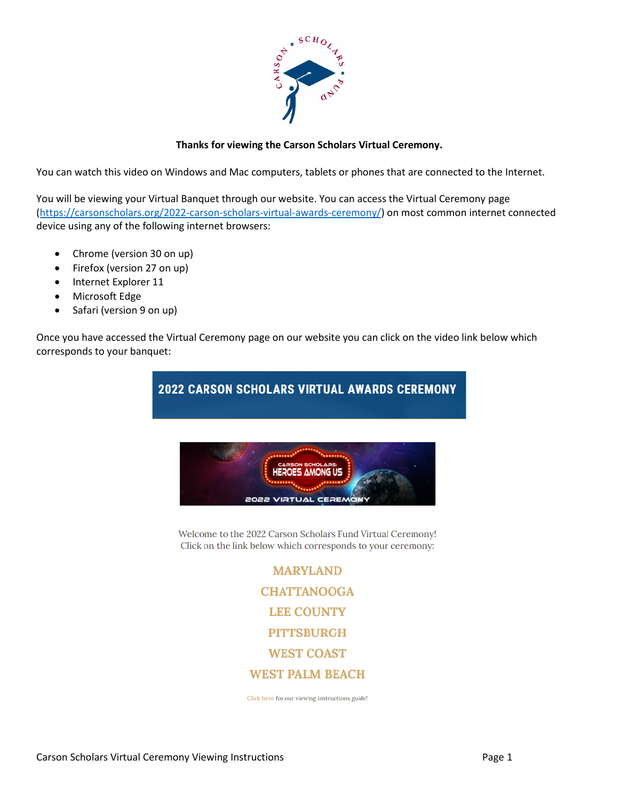

## **Thanks for viewing the Carson Scholars Virtual Ceremony.**

You can watch this video on Windows and Mac computers, tablets or phones that are connected to the Internet.

You will be viewing your Virtual Banquet through our website. You can access the Virtual Ceremony page [\(https://carsonscholars.org/2022-carson-scholars-virtual-awards-ceremony/\)](https://carsonscholars.org/2022-carson-scholars-virtual-awards-ceremony/) on most common internet connected device using any of the following internet browsers:

- Chrome (version 30 on up)
- Firefox (version 27 on up)
- Internet Explorer 11
- Microsoft Edge
- Safari (version 9 on up)

Once you have accessed the Virtual Ceremony page on our website you can click on the video link below which corresponds to your banquet:



Welcome to the 2022 Carson Scholars Fund Virtual Ceremony! Click on the link below which corresponds to your ceremony:

> **MARYLAND CHATTANOOGA LEE COUNTY PITTSBURGH WEST COAST WEST PALM BEACH**

Click here for our viewing instructions guide!